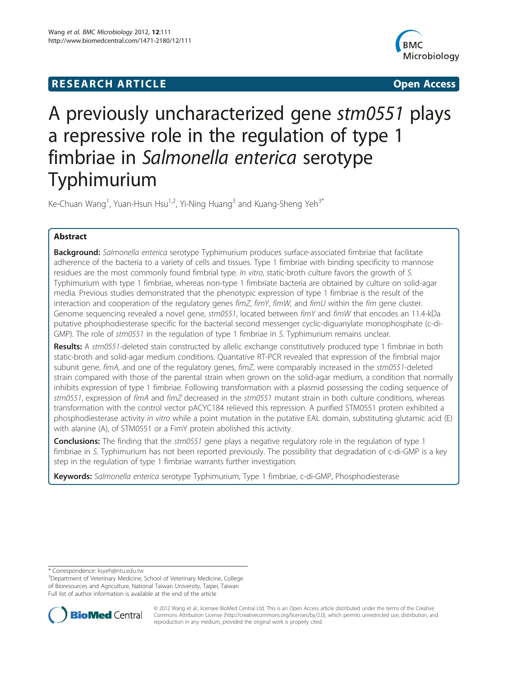## **RESEARCH ARTICLE External Structure of the Contract Open Access**



# A previously uncharacterized gene stm0551 plays a repressive role in the regulation of type 1 fimbriae in Salmonella enterica serotype Typhimurium

Ke-Chuan Wang<sup>1</sup>, Yuan-Hsun Hsu<sup>1,2</sup>, Yi-Ning Huang<sup>3</sup> and Kuang-Sheng Yeh<sup>3\*</sup>

## Abstract

**Background:** Salmonella enterica serotype Typhimurium produces surface-associated fimbriae that facilitate adherence of the bacteria to a variety of cells and tissues. Type 1 fimbriae with binding specificity to mannose residues are the most commonly found fimbrial type. In vitro, static-broth culture favors the growth of S. Typhimurium with type 1 fimbriae, whereas non-type 1 fimbriate bacteria are obtained by culture on solid-agar media. Previous studies demonstrated that the phenotypic expression of type 1 fimbriae is the result of the interaction and cooperation of the regulatory genes fimZ, fimY, fimW, and fimU within the fim gene cluster. Genome sequencing revealed a novel gene, stm0551, located between fimY and fimW that encodes an 11.4-kDa putative phosphodiesterase specific for the bacterial second messenger cyclic-diguanylate monophosphate (c-di-GMP). The role of stm0551 in the regulation of type 1 fimbriae in S. Typhimurium remains unclear.

Results: A stm0551-deleted stain constructed by allelic exchange constitutively produced type 1 fimbriae in both static-broth and solid-agar medium conditions. Quantative RT-PCR revealed that expression of the fimbrial major subunit gene, fimA, and one of the regulatory genes, fimZ, were comparably increased in the stm0551-deleted strain compared with those of the parental strain when grown on the solid-agar medium, a condition that normally inhibits expression of type 1 fimbriae. Following transformation with a plasmid possessing the coding sequence of stm0551, expression of fimA and fimZ decreased in the stm0551 mutant strain in both culture conditions, whereas transformation with the control vector pACYC184 relieved this repression. A purified STM0551 protein exhibited a phosphodiesterase activity in vitro while a point mutation in the putative EAL domain, substituting glutamic acid (E) with alanine (A), of STM0551 or a FimY protein abolished this activity.

**Conclusions:** The finding that the stm0551 gene plays a negative regulatory role in the regulation of type 1 fimbriae in S. Typhimurium has not been reported previously. The possibility that degradation of c-di-GMP is a key step in the regulation of type 1 fimbriae warrants further investigation.

Keywords: Salmonella enterica serotype Typhimurium, Type 1 fimbriae, c-di-GMP, Phosphodiesterase

<sup>&</sup>lt;sup>3</sup>Department of Veterinary Medicine, School of Veterinary Medicine, College of Bioresources and Agriculture, National Taiwan University, Taipei, Taiwan Full list of author information is available at the end of the article



© 2012 Wang et al.; licensee BioMed Central Ltd. This is an Open Access article distributed under the terms of the Creative Commons Attribution License [\(http://creativecommons.org/licenses/by/2.0\)](http://creativecommons.org/licenses/by/2.0), which permits unrestricted use, distribution, and reproduction in any medium, provided the original work is properly cited.

<sup>\*</sup> Correspondence: [ksyeh@ntu.edu.tw](mailto:ksyeh@ntu.edu.tw) <sup>3</sup>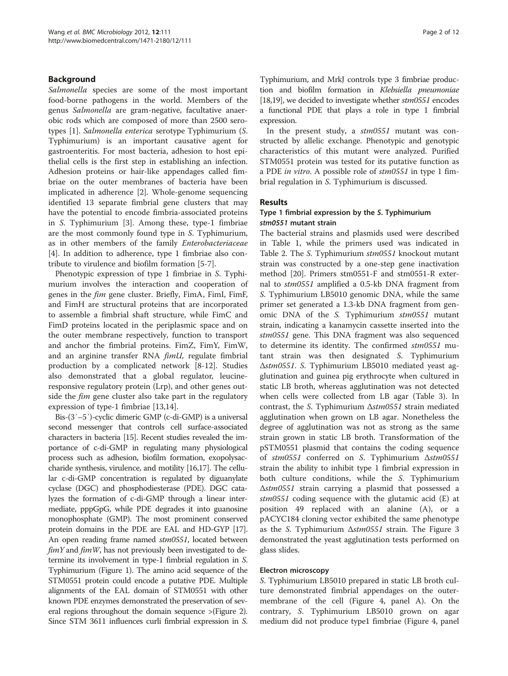## Background

Salmonella species are some of the most important food-borne pathogens in the world. Members of the genus Salmonella are gram-negative, facultative anaerobic rods which are composed of more than 2500 serotypes [\[1](#page-10-0)]. Salmonella enterica serotype Typhimurium (S. Typhimurium) is an important causative agent for gastroenteritis. For most bacteria, adhesion to host epithelial cells is the first step in establishing an infection. Adhesion proteins or hair-like appendages called fimbriae on the outer membranes of bacteria have been implicated in adherence [[2\]](#page-10-0). Whole-genome sequencing identified 13 separate fimbrial gene clusters that may have the potential to encode fimbria-associated proteins in S. Typhimurium [\[3](#page-10-0)]. Among these, type-1 fimbriae are the most commonly found type in S. Typhimurium, as in other members of the family Enterobacteriaceae [[4\]](#page-10-0). In addition to adherence, type 1 fimbriae also contribute to virulence and biofilm formation [[5-7](#page-10-0)].

Phenotypic expression of type 1 fimbriae in S. Typhimurium involves the interaction and cooperation of genes in the fim gene cluster. Briefly, FimA, FimI, FimF, and FimH are structural proteins that are incorporated to assemble a fimbrial shaft structure, while FimC and FimD proteins located in the periplasmic space and on the outer membrane respectively, function to transport and anchor the fimbrial proteins. FimZ, FimY, FimW, and an arginine transfer RNA fimU, regulate fimbrial production by a complicated network [[8-12\]](#page-10-0). Studies also demonstrated that a global regulator, leucineresponsive regulatory protein (Lrp), and other genes outside the *fim* gene cluster also take part in the regulatory expression of type-1 fimbriae [\[13,14\]](#page-10-0).

Bis-(3′–5′)-cyclic dimeric GMP (c-di-GMP) is a universal second messenger that controls cell surface-associated characters in bacteria [[15\]](#page-10-0). Recent studies revealed the importance of c-di-GMP in regulating many physiological process such as adhesion, biofilm formation, exopolysaccharide synthesis, virulence, and motility [[16,17](#page-10-0)]. The cellular c-di-GMP concentration is regulated by diguanylate cyclase (DGC) and phosphodiesterase (PDE). DGC catalyzes the formation of c-di-GMP through a linear intermediate, pppGpG, while PDE degrades it into guanosine monophosphate (GMP). The most prominent conserved protein domains in the PDE are EAL and HD-GYP [\[17](#page-10-0)]. An open reading frame named stm0551, located between  $fimY$  and  $fimW$ , has not previously been investigated to determine its involvement in type-1 fimbrial regulation in S. Typhimurium (Figure [1\)](#page-2-0). The amino acid sequence of the STM0551 protein could encode a putative PDE. Multiple alignments of the EAL domain of STM0551 with other known PDE enzymes demonstrated the preservation of several regions throughout the domain sequence >(Figure [2](#page-3-0)). Since STM 3611 influences curli fimbrial expression in S. Typhimurium, and MrkJ controls type 3 fimbriae production and biofilm formation in Klebsiella pneumoniae [[18,19\]](#page-10-0), we decided to investigate whether stm0551 encodes a functional PDE that plays a role in type 1 fimbrial expression.

In the present study, a stm0551 mutant was constructed by allelic exchange. Phenotypic and genotypic characteristics of this mutant were analyzed. Purified STM0551 protein was tested for its putative function as a PDE in vitro. A possible role of stm0551 in type 1 fimbrial regulation in S. Typhimurium is discussed.

## Results

#### Type 1 fimbrial expression by the S. Typhimurium stm0551 mutant strain

The bacterial strains and plasmids used were described in Table [1](#page-4-0), while the primers used was indicated in Table [2.](#page-5-0) The S. Typhimurium stm0551 knockout mutant strain was constructed by a one-step gene inactivation method [[20](#page-10-0)]. Primers stm0551-F and stm0551-R external to stm0551 amplified a 0.5-kb DNA fragment from S. Typhimurium LB5010 genomic DNA, while the same primer set generated a 1.3-kb DNA fragment from genomic DNA of the S. Typhimurium stm0551 mutant strain, indicating a kanamycin cassette inserted into the stm0551 gene. This DNA fragment was also sequenced to determine its identity. The confirmed stm0551 mutant strain was then designated S. Typhimurium Δstm0551. S. Typhimurium LB5010 mediated yeast agglutination and guinea pig erythrocyte when cultured in static LB broth, whereas agglutination was not detected when cells were collected from LB agar (Table [3](#page-5-0)). In contrast, the S. Typhimurium Δstm0551 strain mediated agglutination when grown on LB agar. Nonetheless the degree of agglutination was not as strong as the same strain grown in static LB broth. Transformation of the pSTM0551 plasmid that contains the coding sequence of stm0551 conferred on S. Typhimurium Δstm0551 strain the ability to inhibit type 1 fimbrial expression in both culture conditions, while the S. Typhimurium Δstm0551 strain carrying a plasmid that possessed a stm0551 coding sequence with the glutamic acid (E) at position 49 replaced with an alanine (A), or a pACYC184 cloning vector exhibited the same phenotype as the S. Typhimurium Δstm0551 strain. The Figure [3](#page-6-0) demonstrated the yeast agglutination tests performed on glass slides.

## Electron microscopy

S. Typhimurium LB5010 prepared in static LB broth culture demonstrated fimbrial appendages on the outermembrane of the cell (Figure [4,](#page-6-0) panel A). On the contrary, S. Typhimurium LB5010 grown on agar medium did not produce type1 fimbriae (Figure [4](#page-6-0), panel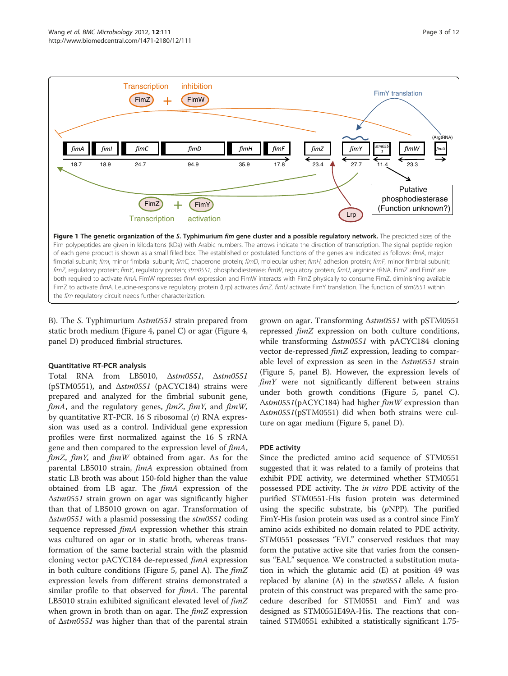<span id="page-2-0"></span>

B). The S. Typhimurium Δstm0551 strain prepared from static broth medium (Figure [4,](#page-6-0) panel C) or agar (Figure [4](#page-6-0), panel D) produced fimbrial structures.

## Quantitative RT-PCR analysis

Total RNA from LB5010, Δstm0551, Δstm0551 (pSTM0551), and Δstm0551 (pACYC184) strains were prepared and analyzed for the fimbrial subunit gene,  $f_{im}A$ , and the regulatory genes,  $f_{im}Z$ ,  $f_{im}Y$ , and  $f_{im}W$ , by quantitative RT-PCR. 16 S ribosomal (r) RNA expression was used as a control. Individual gene expression profiles were first normalized against the 16 S rRNA gene and then compared to the expression level of  $\lim_{\Delta} A$ ,  $fimZ$ ,  $fimY$ , and  $fimW$  obtained from agar. As for the parental LB5010 strain, fimA expression obtained from static LB broth was about 150-fold higher than the value obtained from LB agar. The fimA expression of the Δstm0551 strain grown on agar was significantly higher than that of LB5010 grown on agar. Transformation of Δstm0551 with a plasmid possessing the stm0551 coding sequence repressed *fimA* expression whether this strain was cultured on agar or in static broth, whereas transformation of the same bacterial strain with the plasmid cloning vector pACYC184 de-repressed fimA expression in both culture conditions (Figure [5](#page-7-0), panel A). The  $\textit{fim}Z$ expression levels from different strains demonstrated a similar profile to that observed for *fimA*. The parental LB5010 strain exhibited significant elevated level of  $\lim Z$ when grown in broth than on agar. The *fimZ* expression of Δstm0551 was higher than that of the parental strain

grown on agar. Transforming Δstm0551 with pSTM0551 repressed fimZ expression on both culture conditions, while transforming  $\Delta \text{stm0551}$  with pACYC184 cloning vector de-repressed *fimZ* expression, leading to comparable level of expression as seen in the  $\Delta \frac{stm0551}{arm0551}$  strain (Figure [5,](#page-7-0) panel B). However, the expression levels of  $f_{im}Y$  were not significantly different between strains under both growth conditions (Figure [5](#page-7-0), panel C). Δstm0551(pACYC184) had higher fimW expression than Δstm0551(pSTM0551) did when both strains were culture on agar medium (Figure [5](#page-7-0), panel D).

#### PDE activity

Since the predicted amino acid sequence of STM0551 suggested that it was related to a family of proteins that exhibit PDE activity, we determined whether STM0551 possessed PDE activity. The in vitro PDE activity of the purified STM0551-His fusion protein was determined using the specific substrate, bis  $(pNPP)$ . The purified FimY-His fusion protein was used as a control since FimY amino acids exhibited no domain related to PDE activity. STM0551 possesses "EVL" conserved residues that may form the putative active site that varies from the consensus "EAL" sequence. We constructed a substitution mutation in which the glutamic acid (E) at position 49 was replaced by alanine  $(A)$  in the  $stm0551$  allele. A fusion protein of this construct was prepared with the same procedure described for STM0551 and FimY and was designed as STM0551E49A-His. The reactions that contained STM0551 exhibited a statistically significant 1.75-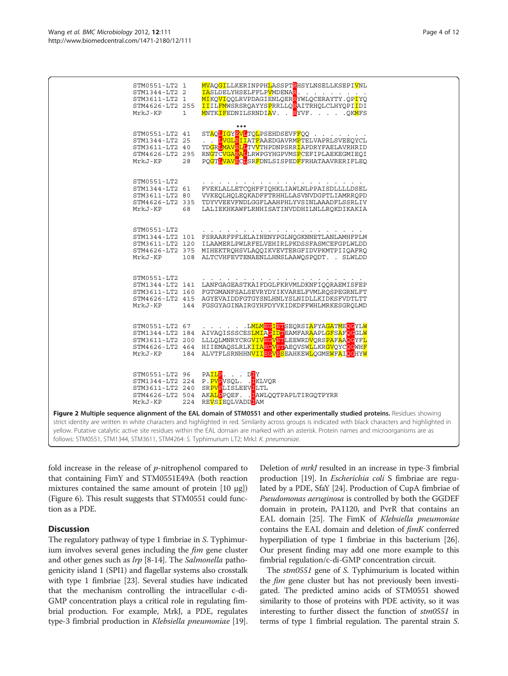<span id="page-3-0"></span>

fold increase in the release of  $p$ -nitrophenol compared to that containing FimY and STM0551E49A (both reaction mixtures contained the same amount of protein [10 μg]) (Figure [6\)](#page-8-0). This result suggests that STM0551 could function as a PDE.

## **Discussion**

The regulatory pathway of type 1 fimbriae in S. Typhimurium involves several genes including the  $f_{im}$  gene cluster and other genes such as *lrp* [\[8](#page-10-0)-[14](#page-10-0)]. The *Salmonella* pathogenicity island 1 (SPI1) and flagellar systems also crosstalk with type 1 fimbriae [\[23](#page-11-0)]. Several studies have indicated that the mechanism controlling the intracellular c-di-GMP concentration plays a critical role in regulating fimbrial production. For example, MrkJ, a PDE, regulates type-3 fimbrial production in Klebsiella pneumoniae [[19](#page-10-0)].

Deletion of mrkJ resulted in an increase in type-3 fimbrial production [\[19\]](#page-10-0). In *Escherichia coli* S fimbriae are regulated by a PDE, SfaY [\[24](#page-11-0)]. Production of CupA fimbriae of Pseudomonas aeruginosa is controlled by both the GGDEF domain in protein, PA1120, and PvrR that contains an EAL domain [[25\]](#page-11-0). The FimK of Klebsiella pneumoniae contains the EAL domain and deletion of fimK conferred hyperpiliation of type 1 fimbriae in this bacterium [[26](#page-11-0)]. Our present finding may add one more example to this fimbrial regulation/c-di-GMP concentration circuit.

The stm0551 gene of S. Typhimurium is located within the *fim* gene cluster but has not previously been investigated. The predicted amino acids of STM0551 showed similarity to those of proteins with PDE activity, so it was interesting to further dissect the function of stm0551 in terms of type 1 fimbrial regulation. The parental strain S.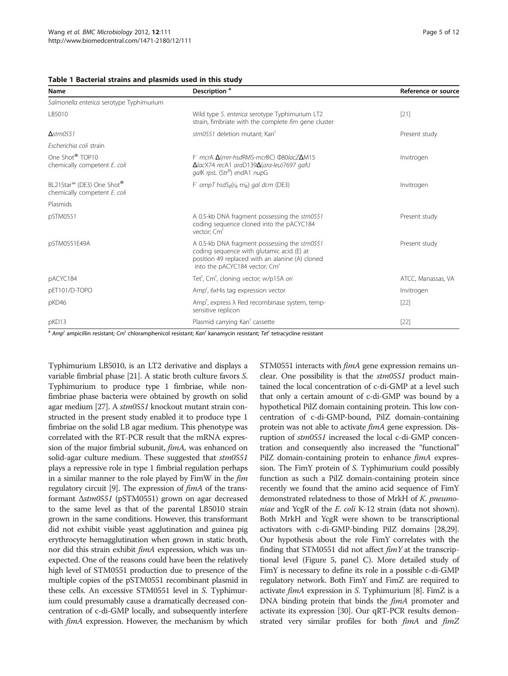<span id="page-4-0"></span>

|  | Table 1 Bacterial strains and plasmids used in this study |  |  |  |  |  |  |  |
|--|-----------------------------------------------------------|--|--|--|--|--|--|--|
|--|-----------------------------------------------------------|--|--|--|--|--|--|--|

| Name                                                        | Description <sup>a</sup>                                                                                                                                                                  | Reference or source |  |
|-------------------------------------------------------------|-------------------------------------------------------------------------------------------------------------------------------------------------------------------------------------------|---------------------|--|
| Salmonella enterica serotype Typhimurium                    |                                                                                                                                                                                           |                     |  |
| LB5010                                                      | Wild type S. enterica serotype Typhimurium LT2<br>strain, fimbriate with the complete fim gene cluster                                                                                    | $[21]$              |  |
| $A$ stm $0551$                                              | stm0551 deletion mutant; Kan <sup>r</sup>                                                                                                                                                 | Present study       |  |
| Escherichia coli strain                                     |                                                                                                                                                                                           |                     |  |
| One Shot <sup>®</sup> TOP10<br>chemically competent E. coli | F mcrA <b>A</b> (mrr-hsdRMS-mcrBC) 080/acZ <b>A</b> M15<br>$\Delta$ lacX74 recA1 araD139 $\Delta$ (ara-leu)7697 galU<br>galK rpsL (Str <sup>R</sup> ) endA1 nupG                          | Invitrogen          |  |
| BL21Star™ (DE3) One Shot®<br>chemically competent E. coli   | F ompT hsdS <sub>B</sub> ( $r_B$ m <sub>B</sub> ) gal dcm (DE3)                                                                                                                           | Invitrogen          |  |
| Plasmids                                                    |                                                                                                                                                                                           |                     |  |
| pSTM0551                                                    | A 0.5-kb DNA fragment possessing the stm0551<br>coding sequence cloned into the pACYC184<br>vector; Cm <sup>r</sup>                                                                       | Present study       |  |
| pSTM0551E49A                                                | A 0.5-kb DNA fragment possessing the stm0551<br>coding sequence with glutamic acid (E) at<br>position 49 replaced with an alanine (A) cloned<br>into the pACYC184 vector; Cm <sup>r</sup> | Present study       |  |
| pACYC184                                                    | Tet <sup>r</sup> , Cm <sup>r</sup> , cloning vector; w/p15A ori                                                                                                                           | ATCC, Manassas, VA  |  |
| pET101/D-TOPO                                               | Amp <sup>r</sup> , 6xHis tag expression vector                                                                                                                                            | Invitrogen          |  |
| pKD46                                                       | Amp <sup>r</sup> , express $\lambda$ Red recombinase system, temp-<br>sensitive replicon                                                                                                  | $[22]$              |  |
| pKD13                                                       | Plasmid carrying Kan' cassette                                                                                                                                                            | $[22]$              |  |

<sup>a</sup> Amp<sup>r</sup> ampicillin resistant; Cm<sup>r</sup> chloramphenicol resistant; Kan<sup>r</sup> kanamycin resistant; Tet<sup>r</sup> tetracycline resistant

Typhimurium LB5010, is an LT2 derivative and displays a variable fimbrial phase [[21](#page-11-0)]. A static broth culture favors S. Typhimurium to produce type 1 fimbriae, while nonfimbriae phase bacteria were obtained by growth on solid agar medium [\[27\]](#page-11-0). A stm0551 knockout mutant strain constructed in the present study enabled it to produce type 1 fimbriae on the solid LB agar medium. This phenotype was correlated with the RT-PCR result that the mRNA expression of the major fimbrial subunit, fimA, was enhanced on solid-agar culture medium. These suggested that  $stm0551$ plays a repressive role in type 1 fimbrial regulation perhaps in a similar manner to the role played by FimW in the fim regulatory circuit [\[9\]](#page-10-0). The expression of fimA of the transformant Δstm0551 (pSTM0551) grown on agar decreased to the same level as that of the parental LB5010 strain grown in the same conditions. However, this transformant did not exhibit visible yeast agglutination and guinea pig erythrocyte hemagglutination when grown in static broth, nor did this strain exhibit *fimA* expression, which was unexpected. One of the reasons could have been the relatively high level of STM0551 production due to presence of the multiple copies of the pSTM0551 recombinant plasmid in these cells. An excessive STM0551 level in S. Typhimurium could presumably cause a dramatically decreased concentration of c-di-GMP locally, and subsequently interfere with *fimA* expression. However, the mechanism by which STM0551 interacts with *fimA* gene expression remains unclear. One possibility is that the stm0551 product maintained the local concentration of c-di-GMP at a level such that only a certain amount of c-di-GMP was bound by a hypothetical PilZ domain containing protein. This low concentration of c-di-GMP-bound, PilZ domain-containing protein was not able to activate fimA gene expression. Disruption of stm0551 increased the local c-di-GMP concentration and consequently also increased the "functional" PilZ domain-containing protein to enhance fimA expression. The FimY protein of S. Typhimurium could possibly function as such a PilZ domain-containing protein since recently we found that the amino acid sequence of FimY demonstrated relatedness to those of MrkH of K. pneumoniae and YcgR of the E. coli K-12 strain (data not shown). Both MrkH and YcgR were shown to be transcriptional activators with c-di-GMP-binding PilZ domains [\[28,29](#page-11-0)]. Our hypothesis about the role FimY correlates with the finding that STM0551 did not affect  $\lim_{M} Y$  at the transcriptional level (Figure [5](#page-7-0), panel C). More detailed study of FimY is necessary to define its role in a possible c-di-GMP regulatory network. Both FimY and FimZ are required to activate  $\lim_{\Delta} A$  expression in S. Typhimurium [[8](#page-10-0)]. FimZ is a DNA binding protein that binds the *fimA* promoter and activate its expression [\[30](#page-11-0)]. Our qRT-PCR results demonstrated very similar profiles for both  $\lim_{\Delta} A$  and  $\lim_{\Delta} Z$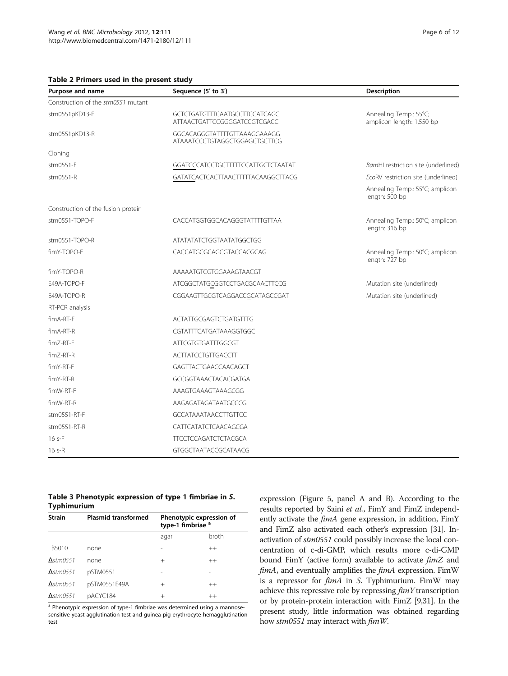<span id="page-5-0"></span>Table 2 Primers used in the present study

| Purpose and name                   | Sequence (5' to 3')                                           | Description                                         |  |
|------------------------------------|---------------------------------------------------------------|-----------------------------------------------------|--|
| Construction of the stm0551 mutant |                                                               |                                                     |  |
| stm0551pKD13-F                     | GCTCTGATGTTTCAATGCCTTCCATCAGC<br>ATTAACTGATTCCGGGGATCCGTCGACC | Annealing Temp.: 55°C;<br>amplicon length: 1,550 bp |  |
| stm0551pKD13-R                     | GGCACAGGGTATTTTGTTAAAGGAAAGG<br>ATAAATCCCTGTAGGCTGGAGCTGCTTCG |                                                     |  |
| Cloning                            |                                                               |                                                     |  |
| stm0551-F                          | GGATCCCATCCTGCTTTTTCCATTGCTCTAATAT                            | BamHI restriction site (underlined)                 |  |
| stm0551-R                          | GATATCACTCACTTAACTTTTTACAAGGCTTACG                            | EcoRV restriction site (underlined)                 |  |
|                                    |                                                               | Annealing Temp.: 55°C; amplicon<br>length: 500 bp   |  |
| Construction of the fusion protein |                                                               |                                                     |  |
| stm0551-TOPO-F                     | CACCATGGTGGCACAGGGTATTTTGTTAA                                 | Annealing Temp.: 50°C; amplicon<br>length: 316 bp   |  |
| stm0551-TOPO-R                     | ATATATATCTGGTAATATGGCTGG                                      |                                                     |  |
| fimY-TOPO-F                        | CACCATGCGCAGCGTACCACGCAG                                      | Annealing Temp.: 50°C; amplicon<br>length: 727 bp   |  |
| fimY-TOPO-R                        | AAAAATGTCGTGGAAAGTAACGT                                       |                                                     |  |
| E49A-TOPO-F                        | ATCGGCTATGCGGTCCTGACGCAACTTCCG                                | Mutation site (underlined)                          |  |
| E49A-TOPO-R                        | CGGAAGTTGCGTCAGGACCGCATAGCCGAT                                | Mutation site (underlined)                          |  |
| RT-PCR analysis                    |                                                               |                                                     |  |
| fimA-RT-F                          | <b>ACTATTGCGAGTCTGATGTTTG</b>                                 |                                                     |  |
| $f$ im A-RT-R                      | CGTATTTCATGATAAAGGTGGC                                        |                                                     |  |
| fimZ-RT-F                          | <b>ATTCGTGTGATTTGGCGT</b>                                     |                                                     |  |
| fimZ-RT-R                          | <b>ACTTATCCTGTTGACCTT</b>                                     |                                                     |  |
| fimY-RT-F                          | <b>GAGTTACTGAACCAACAGCT</b>                                   |                                                     |  |
| fimY-RT-R                          | GCCGGTAAACTACACGATGA                                          |                                                     |  |
| fimW-RT-F                          | AAAGTGAAAGTAAAGCGG                                            |                                                     |  |
| fimW-RT-R                          | AAGAGATAGATAATGCCCG                                           |                                                     |  |

#### Table 3 Phenotypic expression of type 1 fimbriae in S. Typhimurium

stm0551-RT-F GCCATAAATAACCTTGTTCC stm0551-RT-R CATTCATATCTCAACAGCGA 16 s-F TTCCTCCAGATCTCTACGCA 16 s-R GTGGCTAATACCGCATAACG

| <b>Strain</b>          | <b>Plasmid transformed</b> | Phenotypic expression of<br>type-1 fimbriae <sup>a</sup> |         |  |
|------------------------|----------------------------|----------------------------------------------------------|---------|--|
|                        |                            | agar                                                     | broth   |  |
| IB5010                 | none                       |                                                          | $^{++}$ |  |
| $\Delta$ stm0551       | none                       | $^{+}$                                                   | $^{++}$ |  |
| $\Delta$ stm0551       | pSTM0551                   |                                                          |         |  |
| $\Delta$ stm $(0.551)$ | pSTM0551E49A               | $^{+}$                                                   | $^{++}$ |  |
| $\Delta$ stm0551       | pACYC184                   | $^+$                                                     | $^{++}$ |  |

a Phenotypic expression of type-1 fimbriae was determined using a mannosesensitive yeast agglutination test and guinea pig erythrocyte hemagglutination test

expression (Figure [5,](#page-7-0) panel A and B). According to the results reported by Saini et al., FimY and FimZ independently activate the *fimA* gene expression, in addition, FimY and FimZ also activated each other's expression [\[31](#page-11-0)]. Inactivation of stm0551 could possibly increase the local concentration of c-di-GMP, which results more c-di-GMP bound FimY (active form) available to activate fimZ and fimA, and eventually amplifies the fimA expression. FimW is a repressor for *fimA* in S. Typhimurium. FimW may achieve this repressive role by repressing fimY transcription or by protein-protein interaction with FimZ [\[9,](#page-10-0)[31](#page-11-0)]. In the present study, little information was obtained regarding how stm0551 may interact with  $\lim W$ .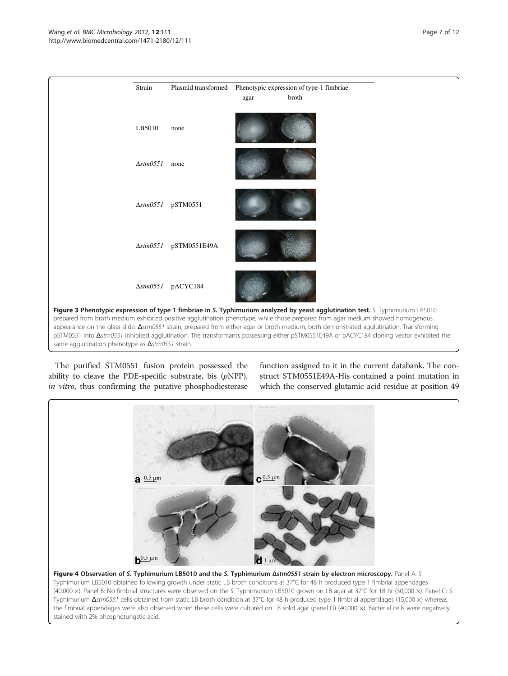<span id="page-6-0"></span>

The purified STM0551 fusion protein possessed the ability to cleave the PDE-specific substrate, bis  $(pNPP)$ , in vitro, thus confirming the putative phosphodiesterase

function assigned to it in the current databank. The construct STM0551E49A-His contained a point mutation in which the conserved glutamic acid residue at position 49

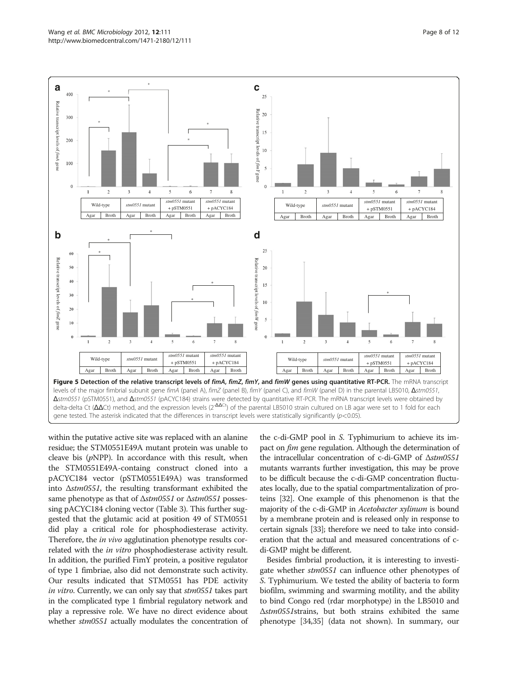<span id="page-7-0"></span>

within the putative active site was replaced with an alanine residue; the STM0551E49A mutant protein was unable to cleave bis  $(pNPP)$ . In accordance with this result, when the STM0551E49A-containg construct cloned into a pACYC184 vector (pSTM0551E49A) was transformed into Δstm0551, the resulting transformant exhibited the same phenotype as that of Δstm0551 or Δstm0551 possessing pACYC184 cloning vector (Table [3](#page-5-0)). This further suggested that the glutamic acid at position 49 of STM0551 did play a critical role for phosphodiesterase activity. Therefore, the *in vivo* agglutination phenotype results correlated with the in vitro phosphodiesterase activity result. In addition, the purified FimY protein, a positive regulator of type 1 fimbriae, also did not demonstrate such activity. Our results indicated that STM0551 has PDE activity in vitro. Currently, we can only say that  $stm0551$  takes part in the complicated type 1 fimbrial regulatory network and play a repressive role. We have no direct evidence about whether  $stm0551$  actually modulates the concentration of

the c-di-GMP pool in S. Typhimurium to achieve its impact on *fim* gene regulation. Although the determination of the intracellular concentration of c-di-GMP of Δstm0551 mutants warrants further investigation, this may be prove to be difficult because the c-di-GMP concentration fluctuates locally, due to the spatial compartmentalization of proteins [[32](#page-11-0)]. One example of this phenomenon is that the majority of the c-di-GMP in *Acetobacter xylinum* is bound by a membrane protein and is released only in response to certain signals [\[33\]](#page-11-0); therefore we need to take into consideration that the actual and measured concentrations of cdi-GMP might be different.

Besides fimbrial production, it is interesting to investigate whether stm0551 can influence other phenotypes of S. Typhimurium. We tested the ability of bacteria to form biofilm, swimming and swarming motility, and the ability to bind Congo red (rdar morphotype) in the LB5010 and Δstm0551strains, but both strains exhibited the same phenotype [\[34,35](#page-11-0)] (data not shown). In summary, our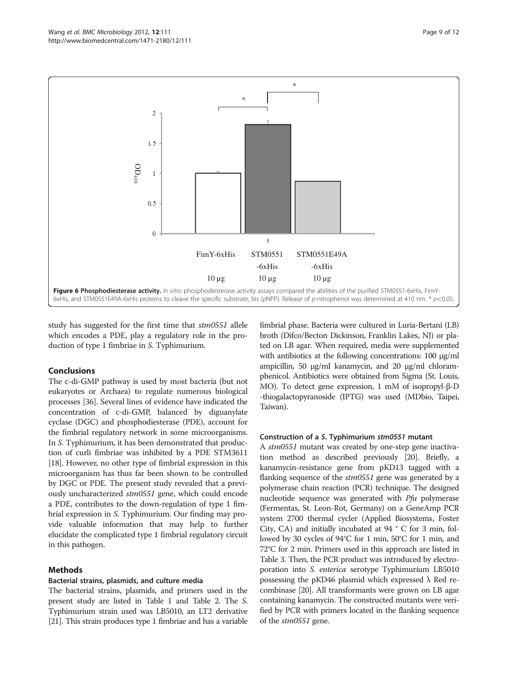<span id="page-8-0"></span>

study has suggested for the first time that stm0551 allele which encodes a PDE, play a regulatory role in the production of type 1 fimbriae in S. Typhimurium.

## Conclusions

The c-di-GMP pathway is used by most bacteria (but not eukaryotes or Archaea) to regulate numerous biological processes [\[36\]](#page-11-0). Several lines of evidence have indicated the concentration of c-di-GMP, balanced by diguanylate cyclase (DGC) and phosphodiesterase (PDE), account for the fimbrial regulatory network in some microorganisms. In S. Typhimurium, it has been demonstrated that production of curli fimbriae was inhibited by a PDE STM3611 [[18](#page-10-0)]. However, no other type of fimbrial expression in this microorganism has thus far been shown to be controlled by DGC or PDE. The present study revealed that a previously uncharacterized stm0551 gene, which could encode a PDE, contributes to the down-regulation of type 1 fimbrial expression in S. Typhimurium. Our finding may provide valuable information that may help to further elucidate the complicated type 1 fimbrial regulatory circuit in this pathogen.

## Methods

#### Bacterial strains, plasmids, and culture media

The bacterial strains, plasmids, and primers used in the present study are listed in Table [1](#page-4-0) and Table [2](#page-5-0). The S. Typhimurium strain used was LB5010, an LT2 derivative [[21](#page-11-0)]. This strain produces type 1 fimbriae and has a variable

fimbrial phase. Bacteria were cultured in Luria-Bertani (LB) broth (Difco/Becton Dickinson, Franklin Lakes, NJ) or plated on LB agar. When required, media were supplemented with antibiotics at the following concentrations: 100 μg/ml ampicillin, 50 μg/ml kanamycin, and 20 μg/ml chloramphenicol. Antibiotics were obtained from Sigma (St. Louis, MO). To detect gene expression, 1 mM of isopropyl-β-D -thiogalactopyranoside (IPTG) was used (MDbio, Taipei, Taiwan).

#### Construction of a S. Typhimurium stm0551 mutant

A stm0551 mutant was created by one-step gene inactivation method as described previously [\[20\]](#page-10-0). Briefly, a kanamycin-resistance gene from pKD13 tagged with a flanking sequence of the *stm0551* gene was generated by a polymerase chain reaction (PCR) technique. The designed nucleotide sequence was generated with  $Pf\mu$  polymerase (Fermentas, St. Leon-Rot, Germany) on a GeneAmp PCR system 2700 thermal cycler (Applied Biosystems, Foster City, CA) and initially incubated at 94 ° C for 3 min, followed by 30 cycles of 94°C for 1 min, 50°C for 1 min, and 72°C for 2 min. Primers used in this approach are listed in Table [3.](#page-5-0) Then, the PCR product was introduced by electroporation into S. enterica serotype Typhimurium LB5010 possessing the pKD46 plasmid which expressed  $\lambda$  Red recombinase [\[20\]](#page-10-0). All transformants were grown on LB agar containing kanamycin. The constructed mutants were verified by PCR with primers located in the flanking sequence of the *stm0551* gene.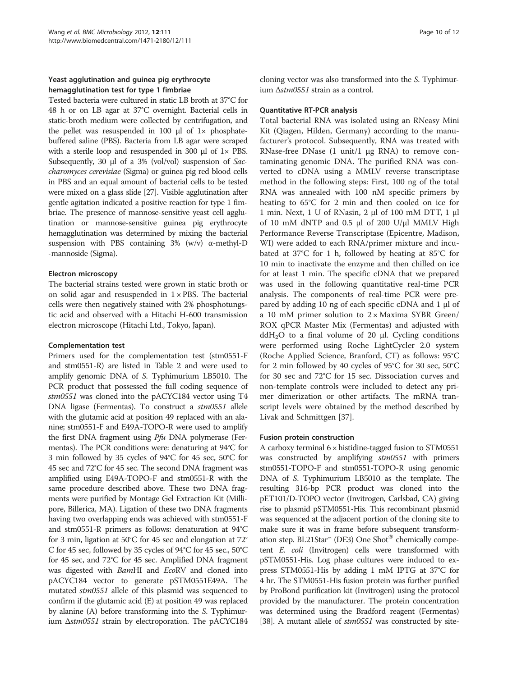## Yeast agglutination and guinea pig erythrocyte hemagglutination test for type 1 fimbriae

Tested bacteria were cultured in static LB broth at 37°C for 48 h or on LB agar at 37°C overnight. Bacterial cells in static-broth medium were collected by centrifugation, and the pellet was resuspended in 100  $\mu$ l of 1 $\times$  phosphatebuffered saline (PBS). Bacteria from LB agar were scraped with a sterile loop and resuspended in 300 μl of 1× PBS. Subsequently, 30 μl of a 3% (vol/vol) suspension of Saccharomyces cerevisiae (Sigma) or guinea pig red blood cells in PBS and an equal amount of bacterial cells to be tested were mixed on a glass slide [\[27\]](#page-11-0). Visible agglutination after gentle agitation indicated a positive reaction for type 1 fimbriae. The presence of mannose-sensitive yeast cell agglutination or mannose-sensitive guinea pig erythrocyte hemagglutination was determined by mixing the bacterial suspension with PBS containing 3% (w/v) α-methyl-D -mannoside (Sigma).

## Electron microscopy

The bacterial strains tested were grown in static broth or on solid agar and resuspended in  $1 \times PBS$ . The bacterial cells were then negatively stained with 2% phosphotungstic acid and observed with a Hitachi H-600 transmission electron microscope (Hitachi Ltd., Tokyo, Japan).

## Complementation test

Primers used for the complementation test (stm0551-F and stm0551-R) are listed in Table [2](#page-5-0) and were used to amplify genomic DNA of S. Typhimurium LB5010. The PCR product that possessed the full coding sequence of stm0551 was cloned into the pACYC184 vector using T4 DNA ligase (Fermentas). To construct a stm0551 allele with the glutamic acid at position 49 replaced with an alanine; stm0551-F and E49A-TOPO-R were used to amplify the first DNA fragment using Pfu DNA polymerase (Fermentas). The PCR conditions were: denaturing at 94°C for 3 min followed by 35 cycles of 94°C for 45 sec, 50°C for 45 sec and 72°C for 45 sec. The second DNA fragment was amplified using E49A-TOPO-F and stm0551-R with the same procedure described above. These two DNA fragments were purified by Montage Gel Extraction Kit (Millipore, Billerica, MA). Ligation of these two DNA fragments having two overlapping ends was achieved with stm0551-F and stm0551-R primers as follows: denaturation at 94°C for 3 min, ligation at 50°C for 45 sec and elongation at 72° C for 45 sec, followed by 35 cycles of 94°C for 45 sec., 50°C for 45 sec, and 72°C for 45 sec. Amplified DNA fragment was digested with BamHI and EcoRV and cloned into pACYC184 vector to generate pSTM0551E49A. The mutated stm0551 allele of this plasmid was sequenced to confirm if the glutamic acid (E) at position 49 was replaced by alanine (A) before transforming into the S. Typhimurium Δstm0551 strain by electroporation. The pACYC184 cloning vector was also transformed into the S. Typhimurium Δstm0551 strain as a control.

## Quantitative RT-PCR analysis

Total bacterial RNA was isolated using an RNeasy Mini Kit (Qiagen, Hilden, Germany) according to the manufacturer's protocol. Subsequently, RNA was treated with RNase-free DNase (1 unit/1 μg RNA) to remove contaminating genomic DNA. The purified RNA was converted to cDNA using a MMLV reverse transcriptase method in the following steps: First, 100 ng of the total RNA was annealed with 100 nM specific primers by heating to 65°C for 2 min and then cooled on ice for 1 min. Next, 1 U of RNasin, 2 μl of 100 mM DTT, 1 μl of 10 mM dNTP and 0.5 μl of 200 U/μl MMLV High Performance Reverse Transcriptase (Epicentre, Madison, WI) were added to each RNA/primer mixture and incubated at 37°C for 1 h, followed by heating at 85°C for 10 min to inactivate the enzyme and then chilled on ice for at least 1 min. The specific cDNA that we prepared was used in the following quantitative real-time PCR analysis. The components of real-time PCR were prepared by adding 10 ng of each specific cDNA and 1 μl of a 10 mM primer solution to  $2 \times$  Maxima SYBR Green/ ROX qPCR Master Mix (Fermentas) and adjusted with ddH<sub>2</sub>O to a final volume of 20 μl. Cycling conditions were performed using Roche LightCycler 2.0 system (Roche Applied Science, Branford, CT) as follows: 95°C for 2 min followed by 40 cycles of 95°C for 30 sec, 50°C for 30 sec and 72°C for 15 sec. Dissociation curves and non-template controls were included to detect any primer dimerization or other artifacts. The mRNA transcript levels were obtained by the method described by Livak and Schmittgen [\[37\]](#page-11-0).

## Fusion protein construction

A carboxy terminal  $6 \times$  histidine-tagged fusion to STM0551 was constructed by amplifying  $stm0551$  with primers stm0551-TOPO-F and stm0551-TOPO-R using genomic DNA of S. Typhimurium LB5010 as the template. The resulting 316-bp PCR product was cloned into the pET101/D-TOPO vector (Invitrogen, Carlsbad, CA) giving rise to plasmid pSTM0551-His. This recombinant plasmid was sequenced at the adjacent portion of the cloning site to make sure it was in frame before subsequent transformation step. BL21Star<sup>™</sup> (DE3) One Shot<sup>®</sup> chemically competent E. coli (Invitrogen) cells were transformed with pSTM0551-His. Log phase cultures were induced to express STM0551-His by adding 1 mM IPTG at 37°C for 4 hr. The STM0551-His fusion protein was further purified by ProBond purification kit (Invitrogen) using the protocol provided by the manufacturer. The protein concentration was determined using the Bradford reagent (Fermentas) [[38](#page-11-0)]. A mutant allele of  $stm0551$  was constructed by site-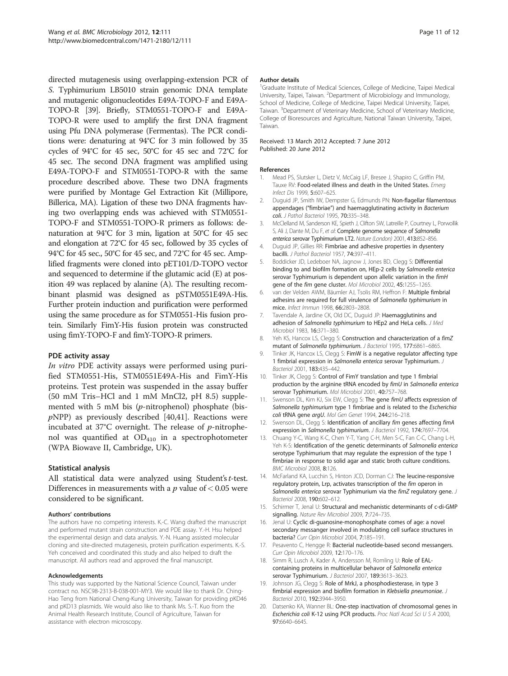<span id="page-10-0"></span>directed mutagenesis using overlapping-extension PCR of S. Typhimurium LB5010 strain genomic DNA template and mutagenic oligonucleotides E49A-TOPO-F and E49A-TOPO-R [\[39\]](#page-11-0). Briefly, STM0551-TOPO-F and E49A-TOPO-R were used to amplify the first DNA fragment using Pfu DNA polymerase (Fermentas). The PCR conditions were: denaturing at 94°C for 3 min followed by 35 cycles of 94°C for 45 sec, 50°C for 45 sec and 72°C for 45 sec. The second DNA fragment was amplified using E49A-TOPO-F and STM0551-TOPO-R with the same procedure described above. These two DNA fragments were purified by Montage Gel Extraction Kit (Millipore, Billerica, MA). Ligation of these two DNA fragments having two overlapping ends was achieved with STM0551- TOPO-F and STM0551-TOPO-R primers as follows: denaturation at 94°C for 3 min, ligation at 50°C for 45 sec and elongation at 72°C for 45 sec, followed by 35 cycles of 94°C for 45 sec., 50°C for 45 sec, and 72°C for 45 sec. Amplified fragments were cloned into pET101/D-TOPO vector and sequenced to determine if the glutamic acid (E) at position 49 was replaced by alanine (A). The resulting recombinant plasmid was designed as pSTM0551E49A-His. Further protein induction and purification were performed using the same procedure as for STM0551-His fusion protein. Similarly FimY-His fusion protein was constructed using fimY-TOPO-F and fimY-TOPO-R primers.

#### PDE activity assay

In vitro PDE activity assays were performed using purified STM0551-His, STM0551E49A-His and FimY-His proteins. Test protein was suspended in the assay buffer (50 mM Tris–HCl and 1 mM MnCl2, pH 8.5) supplemented with 5 mM bis (p-nitrophenol) phosphate (bis $pNPP$ ) as previously described [\[40,41\]](#page-11-0). Reactions were incubated at  $37^{\circ}$ C overnight. The release of *p*-nitrophenol was quantified at  $OD_{410}$  in a spectrophotometer (WPA Biowave II, Cambridge, UK).

#### Statistical analysis

All statistical data were analyzed using Student's t-test. Differences in measurements with a  $p$  value of  $< 0.05$  were considered to be significant.

#### Authors' contributions

The authors have no competing interests. K.-C. Wang drafted the manuscript and performed mutant strain construction and PDE assay. Y.-H. Hsu helped the experimental design and data analysis. Y.-N. Huang assisted molecular cloning and site-directed mutagenesis, protein purification experiments. K.-S. Yeh conceived and coordinated this study and also helped to draft the manuscript. All authors read and approved the final manuscript.

#### Acknowledgements

This study was supported by the National Science Council, Taiwan under contract no. NSC98-2313-B-038-001-MY3. We would like to thank Dr. Ching-Hao Teng from National Cheng-Kung University, Taiwan for providing pKD46 and pKD13 plasmids. We would also like to thank Ms. S.-T. Kuo from the Animal Health Research Institute, Council of Agriculture, Taiwan for assistance with electron microscopy.

#### Author details

<sup>1</sup>Graduate Institute of Medical Sciences, College of Medicine, Taipei Medical University, Taipei, Taiwan. <sup>2</sup> Department of Microbiology and Immunology School of Medicine, College of Medicine, Taipei Medical University, Taipei, Taiwan. <sup>3</sup>Department of Veterinary Medicine, School of Veterinary Medicine, College of Bioresources and Agriculture, National Taiwan University, Taipei, Taiwan.

#### Received: 13 March 2012 Accepted: 7 June 2012 Published: 20 June 2012

## References

- 1. Mead PS, Slutsker L, Dietz V, McCaig LF, Bresee J, Shapiro C, Griffin PM, Tauxe RV: Food-related illness and death in the United States. Emerg Infect Dis 1999, 5:607–625.
- 2. Duguid JP, Smith IW, Dempster G, Edmunds PN: Non-flagellar filamentous appendages ("fimbriae") and haemagglutinating activity in Bacterium coli. J Pathol Bacteriol 1995, 70:335-348.
- 3. McClelland M, Sanderson KE, Spieth J, Clifton SW, Latreille P, Courtney L, Porwollik S, Ali J, Dante M, Du F, et al: Complete genome sequence of Salmonella enterica serovar Typhimurium LT2. Nature (London) 2001, 413:852–856.
- 4. Duguid JP, Gillies RR: Fimbriae and adhesive properties in dysentery bacilli. J Pathol Bacteriol 1957, 74:397–411.
- 5. Boddicker JD, Ledeboer NA, Jagnow J, Jones BD, Clegg S: Differential binding to and biofilm formation on, HEp-2 cells by Salmonella enterica serovar Typhimurium is dependent upon allelic variation in the fimH gene of the fim gene cluster. Mol Microbiol 2002, 45:1255–1265.
- 6. van der Velden AWM, Bäumler AJ, Tsolis RM, Heffron F: Multiple fimbrial adhesins are required for full virulence of Salmonella typhimurium in mice. Infect Immun 1998, 66:2803–2808.
- 7. Tavendale A, Jardine CK, Old DC, Duguid JP: Haemagglutinins and adhesion of Salmonella typhimurium to HEp2 and HeLa cells. J Med Microbiol 1983, 16:371–380.
- 8. Yeh KS, Hancox LS, Clegg S: Construction and characterization of a fimZ mutant of Salmonella typhimurium. J Bacteriol 1995, 177:6861–6865.
- 9. Tinker JK, Hancox LS, Clegg S: FimW is a negative regulator affecting type 1 fimbrial expression in Salmonella enterica serovar Typhimurium. J Bacteriol 2001, 183:435–442.
- 10. Tinker JK, Clegg S: Control of FimY translation and type 1 fimbrial production by the arginine tRNA encoded by fimU in Salmonella enterica serovar Typhimurium. Mol Microbiol 2001, 40:757–768.
- 11. Swenson DL, Kim KJ, Six EW, Clegg S: The gene fimU affects expression of Salmonella typhimurium type 1 fimbriae and is related to the Escherichia coli tRNA gene argU. Mol Gen Genet 1994, 244:216-218.
- 12. Swenson DL, Clegg S: Identification of ancillary fim genes affecting fimA expression in Salmonella typhimurium. J Bacteriol 1992, 174:7697–7704.
- 13. Chuang Y-C, Wang K-C, Chen Y-T, Yang C-H, Men S-C, Fan C-C, Chang L-H, Yeh K-S: Identification of the genetic determinants of Salmonella enterica serotype Typhimurium that may regulate the expression of the type 1 fimbriae in response to solid agar and static broth culture conditions. BMC Microbiol 2008, 8:126.
- 14. McFarland KA, Lucchin S, Hinton JCD, Dorman CJ: The leucine-responsive regulatory protein, Lrp, activates transcription of the fim operon in Salmonella enterica serovar Typhimurium via the fimZ regulatory gene. J Bacteriol 2008, 190:602–612.
- 15. Schirmer T, Jenal U: Structural and mechanistic determinants of c-di-GMP signalling. Nature Rev Microbiol 2009, 7:724–735.
- 16. Jenal U: Cyclic di-guanosine-monophosphate comes of age: a novel secondary messanger involved in modulating cell surface structures in bacteria? Curr Opin Microbiol 2004, 7:185–191.
- 17. Pesavento C, Hengge R: Bacterial nucleotide-based second messangers. Curr Opin Microbiol 2009, 12:170–176.
- 18. Simm R, Lusch A, Kader A, Andersson M, Romling U: Role of EALcontaining proteins in multicellular behavor of Salmonella enterica serovar Typhimurium. J Bacteriol 2007, 189:3613-3623.
- 19. Johnson JG, Clegg S: Role of MrkJ, a phosphodiesterase, in type 3 fimbrial expression and biofilm formation in Klebsiella pneumoniae. J Bacteriol 2010, 192:3944–3950.
- 20. Datsenko KA, Wanner BL: One-step inactivation of chromosomal genes in Escherichia coli K-12 using PCR products. Proc Natl Acad Sci U S A 2000, 97:6640–6645.